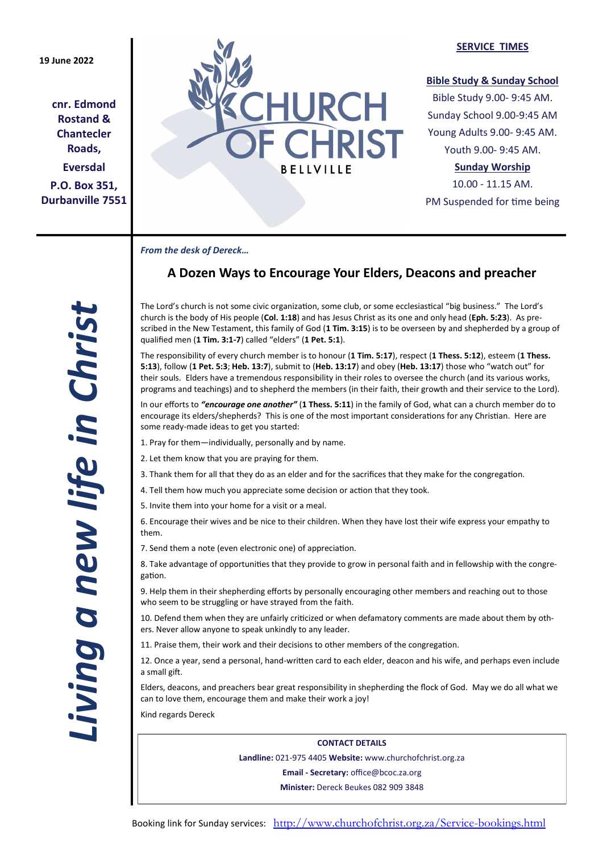**cnr. Edmond Rostand & Chantecler Roads, Eversdal P.O. Box 351, Durbanville 7551**



#### **SERVICE TIMES**

## **Bible Study & Sunday School**

Bible Study 9.00- 9:45 AM. Sunday School 9.00-9:45 AM Young Adults 9.00- 9:45 AM. Youth 9.00- 9:45 AM.

# **Sunday Worship**

10.00 - 11.15 AM. PM Suspended for time being

*From the desk of Dereck…* 

# **A Dozen Ways to Encourage Your Elders, Deacons and preacher**

The Lord's church is not some civic organization, some club, or some ecclesiastical "big business." The Lord's church is the body of His people (**Col. 1:18**) and has Jesus Christ as its one and only head (**Eph. 5:23**). As prescribed in the New Testament, this family of God (**1 Tim. 3:15**) is to be overseen by and shepherded by a group of qualified men (**1 Tim. 3:1-7**) called "elders" (**1 Pet. 5:1**).

The responsibility of every church member is to honour (**1 Tim. 5:17**), respect (**1 Thess. 5:12**), esteem (**1 Thess. 5:13**), follow (**1 Pet. 5:3**; **Heb. 13:7**), submit to (**Heb. 13:17**) and obey (**Heb. 13:17**) those who "watch out" for their souls. Elders have a tremendous responsibility in their roles to oversee the church (and its various works, programs and teachings) and to shepherd the members (in their faith, their growth and their service to the Lord).

In our efforts to *"encourage one another"* (**1 Thess. 5:11**) in the family of God, what can a church member do to encourage its elders/shepherds? This is one of the most important considerations for any Christian. Here are some ready-made ideas to get you started:

- 1. Pray for them—individually, personally and by name.
- 2. Let them know that you are praying for them.
- 3. Thank them for all that they do as an elder and for the sacrifices that they make for the congregation.
- 4. Tell them how much you appreciate some decision or action that they took.
- 5. Invite them into your home for a visit or a meal.

6. Encourage their wives and be nice to their children. When they have lost their wife express your empathy to them.

7. Send them a note (even electronic one) of appreciation.

8. Take advantage of opportunities that they provide to grow in personal faith and in fellowship with the congregation.

9. Help them in their shepherding efforts by personally encouraging other members and reaching out to those who seem to be struggling or have strayed from the faith.

10. Defend them when they are unfairly criticized or when defamatory comments are made about them by others. Never allow anyone to speak unkindly to any leader.

11. Praise them, their work and their decisions to other members of the congregation.

12. Once a year, send a personal, hand-written card to each elder, deacon and his wife, and perhaps even include a small gift.

Elders, deacons, and preachers bear great responsibility in shepherding the flock of God. May we do all what we can to love them, encourage them and make their work a joy!

Kind regards Dereck

**CONTACT DETAILS Landline:** 021-975 4405 **Website:** www.churchofchrist.org.za **Email - Secretary:** office@bcoc.za.org **Minister:** Dereck Beukes 082 909 3848

*Living a new life in Christ*  iving a new life in Christ.